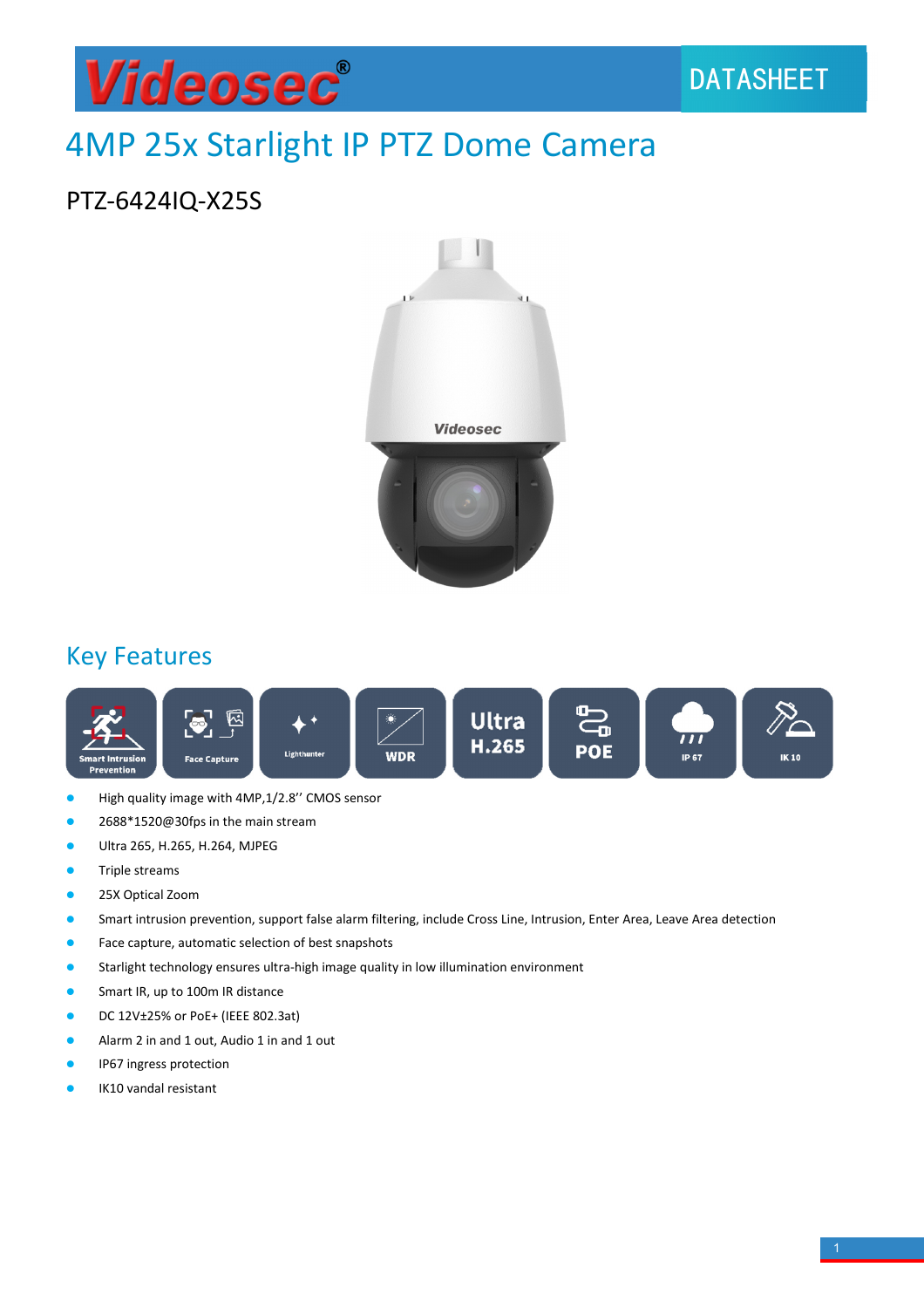

# 4MP 25x Starlight IP PTZ Dome Camera

#### PTZ-6424IQ-X25S



#### Key Features



- High quality image with 4MP,1/2.8'' CMOS sensor
- 2688\*1520@30fps in the main stream
- Ultra 265, H.265, H.264, MJPEG
- **•** Triple streams
- **•** 25X Optical Zoom
- **•** Smart intrusion prevention, support false alarm filtering, include Cross Line, Intrusion, Enter Area, Leave Area detection
- **•** Face capture, automatic selection of best snapshots
- **•** Starlight technology ensures ultra-high image quality in low illumination environment
- **Smart IR, up to 100m IR distance**
- DC 12V±25% or PoE+ (IEEE 802.3at)
- Alarm 2 in and 1 out, Audio 1 in and 1 out
- IP67 ingress protection
- IK10 vandal resistant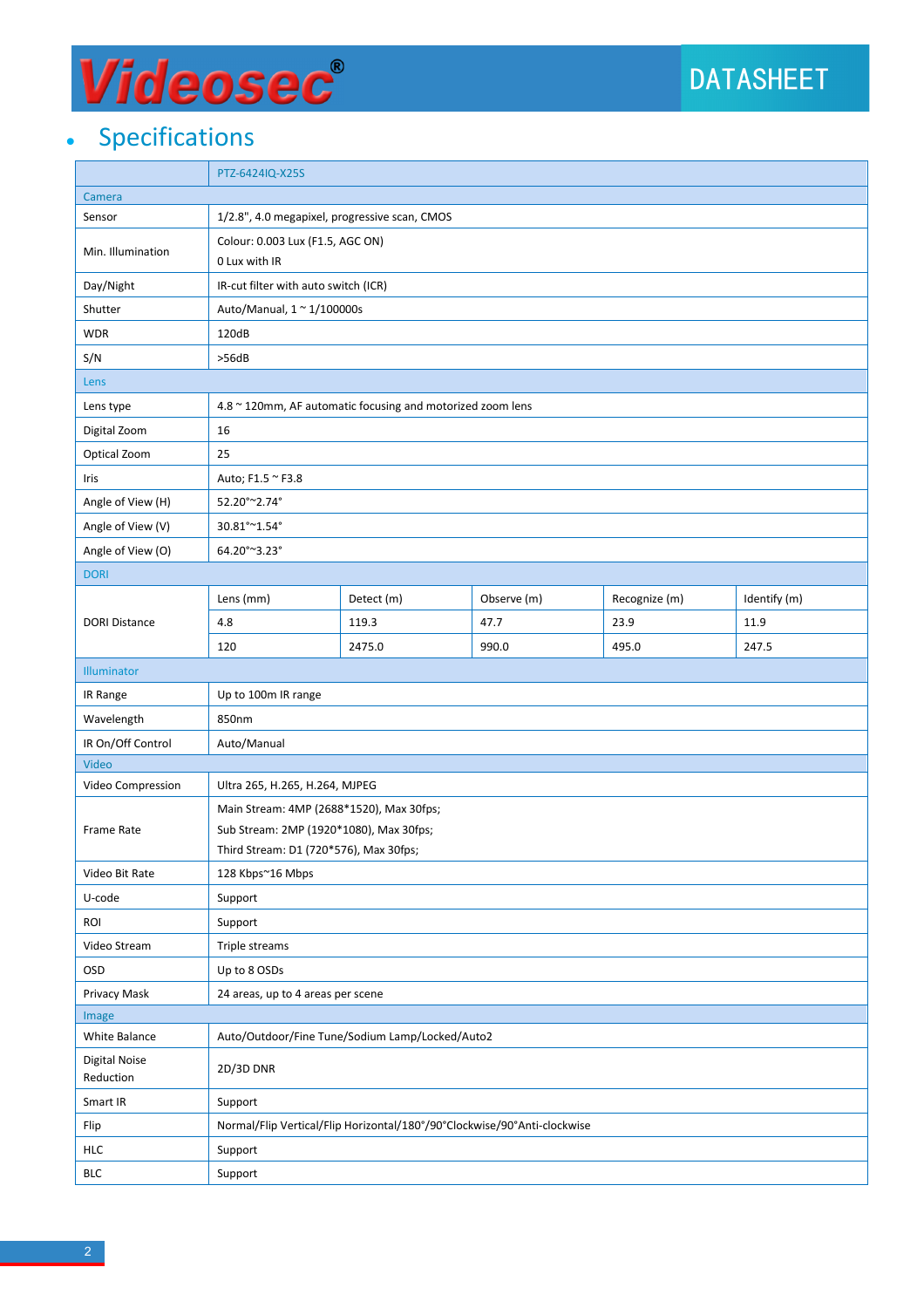# Videosec®

### • Specifications

|                                   | PTZ-6424IQ-X25S                                                          |                                               |             |               |              |  |  |
|-----------------------------------|--------------------------------------------------------------------------|-----------------------------------------------|-------------|---------------|--------------|--|--|
| Camera                            |                                                                          |                                               |             |               |              |  |  |
| Sensor                            |                                                                          | 1/2.8", 4.0 megapixel, progressive scan, CMOS |             |               |              |  |  |
| Min. Illumination                 | Colour: 0.003 Lux (F1.5, AGC ON)                                         |                                               |             |               |              |  |  |
|                                   | 0 Lux with IR                                                            |                                               |             |               |              |  |  |
| Day/Night                         | IR-cut filter with auto switch (ICR)                                     |                                               |             |               |              |  |  |
| Shutter                           | Auto/Manual, 1 ~ 1/100000s                                               |                                               |             |               |              |  |  |
| <b>WDR</b>                        | 120dB                                                                    |                                               |             |               |              |  |  |
| S/N                               | >56dB                                                                    |                                               |             |               |              |  |  |
| Lens                              |                                                                          |                                               |             |               |              |  |  |
| Lens type                         | 4.8 ~ 120mm, AF automatic focusing and motorized zoom lens               |                                               |             |               |              |  |  |
| Digital Zoom                      | 16                                                                       |                                               |             |               |              |  |  |
| Optical Zoom                      | 25                                                                       |                                               |             |               |              |  |  |
| Iris                              | Auto; F1.5 ~ F3.8                                                        |                                               |             |               |              |  |  |
| Angle of View (H)                 | 52.20°~2.74°                                                             |                                               |             |               |              |  |  |
| Angle of View (V)                 | 30.81°~1.54°                                                             |                                               |             |               |              |  |  |
| Angle of View (O)                 | 64.20°~3.23°                                                             |                                               |             |               |              |  |  |
| <b>DORI</b>                       |                                                                          |                                               |             |               |              |  |  |
|                                   | Lens (mm)                                                                | Detect (m)                                    | Observe (m) | Recognize (m) | Identify (m) |  |  |
| <b>DORI Distance</b>              | 4.8                                                                      | 119.3                                         | 47.7        | 23.9          | 11.9         |  |  |
|                                   | 120                                                                      | 2475.0                                        | 990.0       | 495.0         | 247.5        |  |  |
| Illuminator                       |                                                                          |                                               |             |               |              |  |  |
| IR Range                          | Up to 100m IR range                                                      |                                               |             |               |              |  |  |
| Wavelength                        | 850nm                                                                    |                                               |             |               |              |  |  |
| IR On/Off Control                 | Auto/Manual                                                              |                                               |             |               |              |  |  |
| Video                             |                                                                          |                                               |             |               |              |  |  |
| Video Compression                 | Ultra 265, H.265, H.264, MJPEG                                           |                                               |             |               |              |  |  |
|                                   | Main Stream: 4MP (2688*1520), Max 30fps;                                 |                                               |             |               |              |  |  |
| Frame Rate                        | Sub Stream: 2MP (1920*1080), Max 30fps;                                  |                                               |             |               |              |  |  |
|                                   | Third Stream: D1 (720*576), Max 30fps;                                   |                                               |             |               |              |  |  |
| Video Bit Rate                    | 128 Kbps~16 Mbps                                                         |                                               |             |               |              |  |  |
| U-code                            | Support                                                                  |                                               |             |               |              |  |  |
| ROI                               | Support                                                                  |                                               |             |               |              |  |  |
| Video Stream                      | Triple streams                                                           |                                               |             |               |              |  |  |
| <b>OSD</b>                        | Up to 8 OSDs                                                             |                                               |             |               |              |  |  |
| Privacy Mask                      | 24 areas, up to 4 areas per scene                                        |                                               |             |               |              |  |  |
| Image                             |                                                                          |                                               |             |               |              |  |  |
| White Balance                     | Auto/Outdoor/Fine Tune/Sodium Lamp/Locked/Auto2                          |                                               |             |               |              |  |  |
| <b>Digital Noise</b><br>Reduction | 2D/3D DNR                                                                |                                               |             |               |              |  |  |
| Smart IR                          | Support                                                                  |                                               |             |               |              |  |  |
| Flip                              | Normal/Flip Vertical/Flip Horizontal/180°/90°Clockwise/90°Anti-clockwise |                                               |             |               |              |  |  |
| <b>HLC</b>                        | Support                                                                  |                                               |             |               |              |  |  |
| <b>BLC</b>                        | Support                                                                  |                                               |             |               |              |  |  |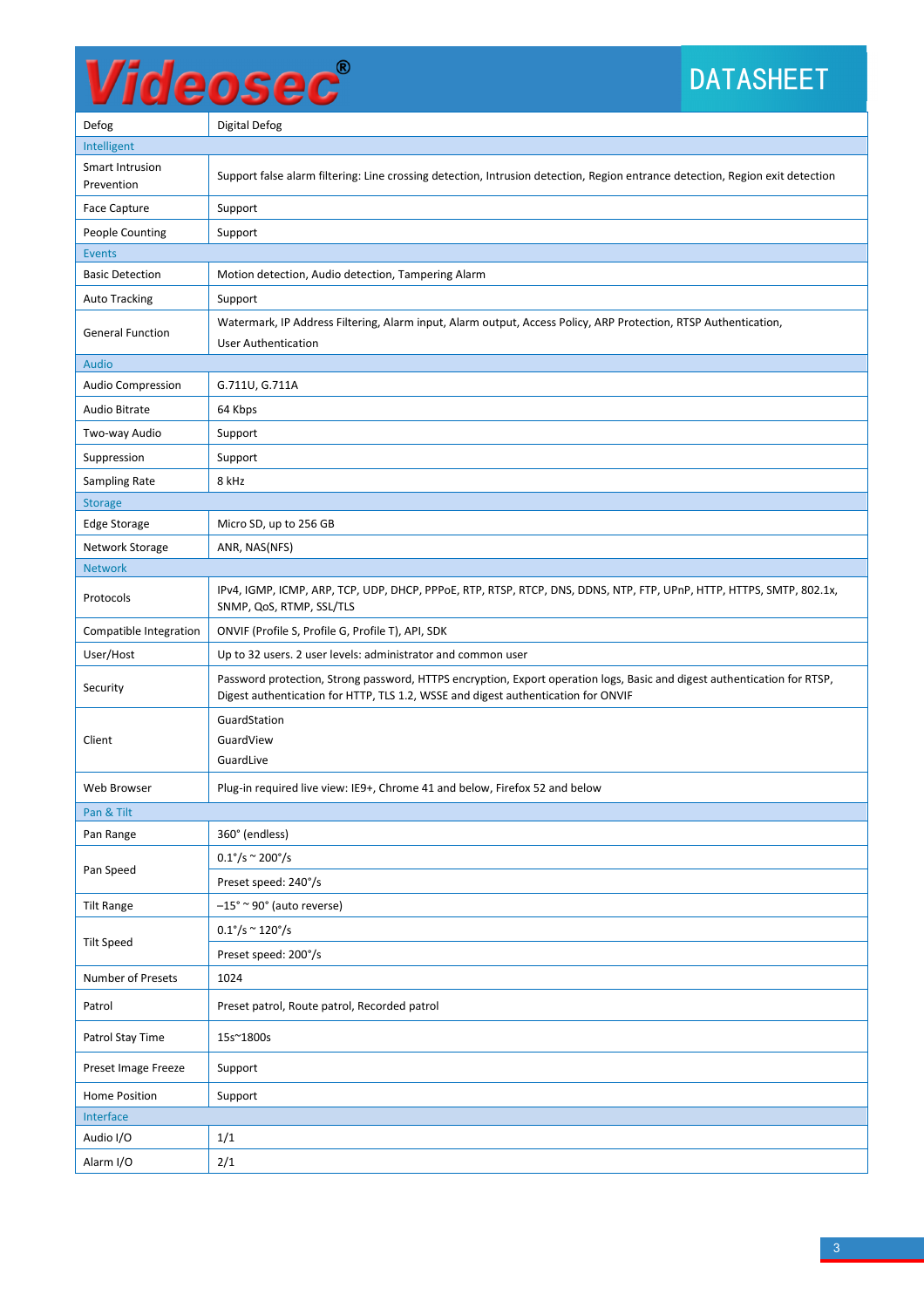# Videosec®

## DATASHEET

| Defog                         | <b>Digital Defog</b>                                                                                                                                                                                          |  |  |  |
|-------------------------------|---------------------------------------------------------------------------------------------------------------------------------------------------------------------------------------------------------------|--|--|--|
| Intelligent                   |                                                                                                                                                                                                               |  |  |  |
| Smart Intrusion<br>Prevention | Support false alarm filtering: Line crossing detection, Intrusion detection, Region entrance detection, Region exit detection                                                                                 |  |  |  |
| <b>Face Capture</b>           | Support                                                                                                                                                                                                       |  |  |  |
| People Counting               | Support                                                                                                                                                                                                       |  |  |  |
| <b>Events</b>                 |                                                                                                                                                                                                               |  |  |  |
| <b>Basic Detection</b>        | Motion detection, Audio detection, Tampering Alarm                                                                                                                                                            |  |  |  |
| <b>Auto Tracking</b>          | Support                                                                                                                                                                                                       |  |  |  |
| <b>General Function</b>       | Watermark, IP Address Filtering, Alarm input, Alarm output, Access Policy, ARP Protection, RTSP Authentication,<br><b>User Authentication</b>                                                                 |  |  |  |
| Audio                         |                                                                                                                                                                                                               |  |  |  |
| <b>Audio Compression</b>      | G.711U, G.711A                                                                                                                                                                                                |  |  |  |
| Audio Bitrate                 | 64 Kbps                                                                                                                                                                                                       |  |  |  |
| Two-way Audio                 | Support                                                                                                                                                                                                       |  |  |  |
| Suppression                   | Support                                                                                                                                                                                                       |  |  |  |
| Sampling Rate                 | 8 kHz                                                                                                                                                                                                         |  |  |  |
| <b>Storage</b>                |                                                                                                                                                                                                               |  |  |  |
| <b>Edge Storage</b>           | Micro SD, up to 256 GB                                                                                                                                                                                        |  |  |  |
| Network Storage               | ANR, NAS(NFS)                                                                                                                                                                                                 |  |  |  |
| <b>Network</b>                |                                                                                                                                                                                                               |  |  |  |
| Protocols                     | IPv4, IGMP, ICMP, ARP, TCP, UDP, DHCP, PPPoE, RTP, RTSP, RTCP, DNS, DDNS, NTP, FTP, UPnP, HTTP, HTTPS, SMTP, 802.1x,<br>SNMP, QoS, RTMP, SSL/TLS                                                              |  |  |  |
| Compatible Integration        | ONVIF (Profile S, Profile G, Profile T), API, SDK                                                                                                                                                             |  |  |  |
| User/Host                     | Up to 32 users. 2 user levels: administrator and common user                                                                                                                                                  |  |  |  |
| Security                      | Password protection, Strong password, HTTPS encryption, Export operation logs, Basic and digest authentication for RTSP,<br>Digest authentication for HTTP, TLS 1.2, WSSE and digest authentication for ONVIF |  |  |  |
|                               | GuardStation                                                                                                                                                                                                  |  |  |  |
| Client                        | GuardView                                                                                                                                                                                                     |  |  |  |
|                               | GuardLive                                                                                                                                                                                                     |  |  |  |
| Web Browser                   | Plug-in required live view: IE9+, Chrome 41 and below, Firefox 52 and below                                                                                                                                   |  |  |  |
| Pan & Tilt                    |                                                                                                                                                                                                               |  |  |  |
| Pan Range                     | 360° (endless)                                                                                                                                                                                                |  |  |  |
| Pan Speed                     | $0.1^{\circ}/s \approx 200^{\circ}/s$                                                                                                                                                                         |  |  |  |
|                               | Preset speed: 240°/s                                                                                                                                                                                          |  |  |  |
| <b>Tilt Range</b>             | $-15^{\circ}$ ~ 90° (auto reverse)                                                                                                                                                                            |  |  |  |
| <b>Tilt Speed</b>             | $0.1^{\circ}/s \approx 120^{\circ}/s$                                                                                                                                                                         |  |  |  |
|                               | Preset speed: 200°/s                                                                                                                                                                                          |  |  |  |
| Number of Presets             | 1024                                                                                                                                                                                                          |  |  |  |
| Patrol                        | Preset patrol, Route patrol, Recorded patrol                                                                                                                                                                  |  |  |  |
| Patrol Stay Time              | 15s~1800s                                                                                                                                                                                                     |  |  |  |
| Preset Image Freeze           | Support                                                                                                                                                                                                       |  |  |  |
| Home Position<br>Support      |                                                                                                                                                                                                               |  |  |  |
| Interface                     |                                                                                                                                                                                                               |  |  |  |
| Audio I/O                     | 1/1                                                                                                                                                                                                           |  |  |  |
| Alarm I/O                     | 2/1                                                                                                                                                                                                           |  |  |  |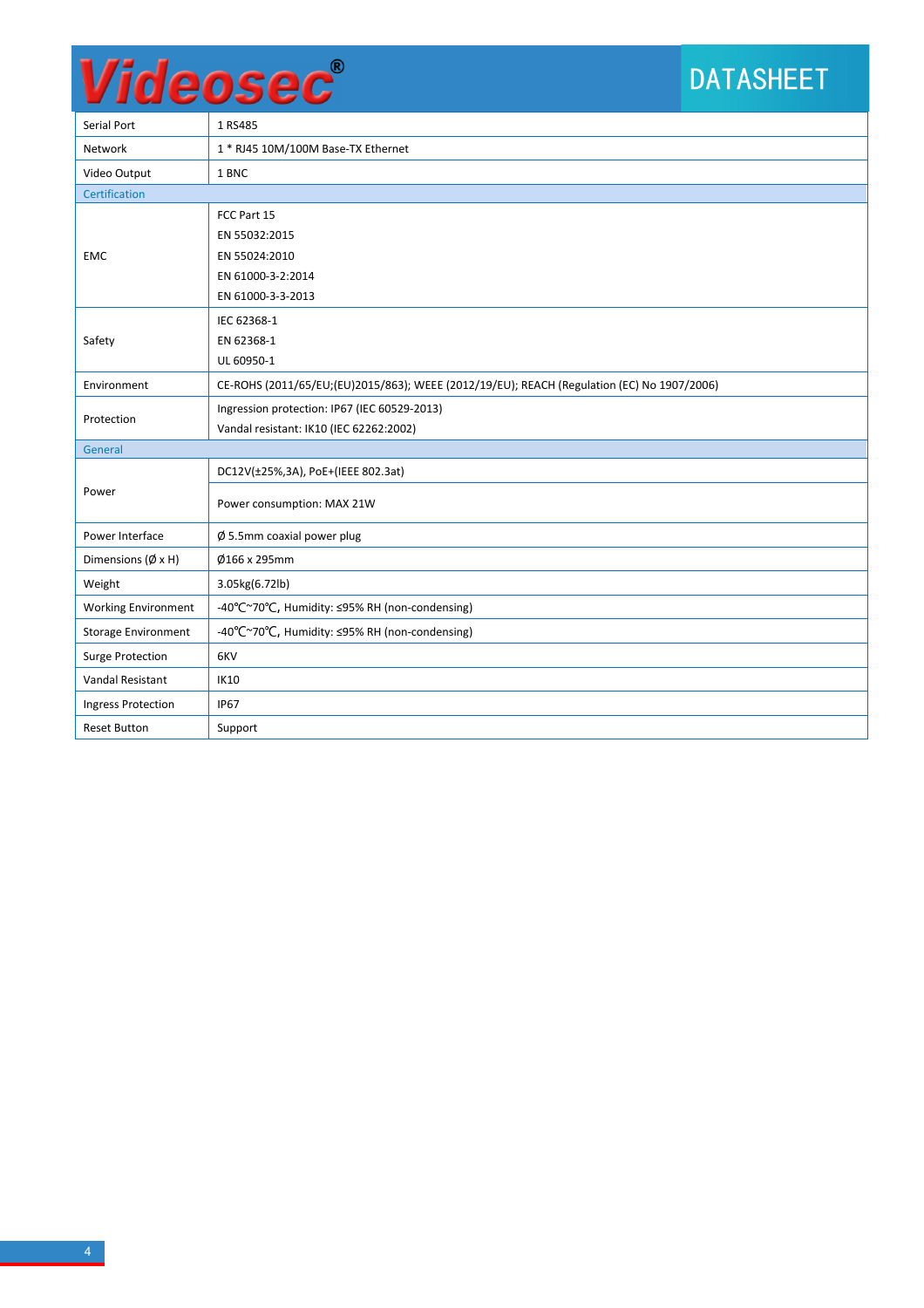## DATASHEET

| Serial Port                  | 1 RS485                                                                                    |  |  |  |  |
|------------------------------|--------------------------------------------------------------------------------------------|--|--|--|--|
| <b>Network</b>               | 1 * RJ45 10M/100M Base-TX Ethernet                                                         |  |  |  |  |
| Video Output                 | 1 BNC                                                                                      |  |  |  |  |
| Certification                |                                                                                            |  |  |  |  |
| <b>EMC</b>                   | FCC Part 15                                                                                |  |  |  |  |
|                              | EN 55032:2015                                                                              |  |  |  |  |
|                              | EN 55024:2010                                                                              |  |  |  |  |
|                              | EN 61000-3-2:2014                                                                          |  |  |  |  |
|                              | EN 61000-3-3-2013                                                                          |  |  |  |  |
| Safety                       | IEC 62368-1                                                                                |  |  |  |  |
|                              | EN 62368-1                                                                                 |  |  |  |  |
|                              | UL 60950-1                                                                                 |  |  |  |  |
| Environment                  | CE-ROHS (2011/65/EU;(EU)2015/863); WEEE (2012/19/EU); REACH (Regulation (EC) No 1907/2006) |  |  |  |  |
| Protection                   | Ingression protection: IP67 (IEC 60529-2013)                                               |  |  |  |  |
|                              | Vandal resistant: IK10 (IEC 62262:2002)                                                    |  |  |  |  |
| General                      |                                                                                            |  |  |  |  |
|                              | DC12V(±25%,3A), PoE+(IEEE 802.3at)                                                         |  |  |  |  |
| Power                        | Power consumption: MAX 21W                                                                 |  |  |  |  |
| Power Interface              | $\emptyset$ 5.5mm coaxial power plug                                                       |  |  |  |  |
| Dimensions $(\emptyset x H)$ | Ø166 x 295mm                                                                               |  |  |  |  |
| Weight                       | 3.05kg(6.72lb)                                                                             |  |  |  |  |
| <b>Working Environment</b>   | -40°C~70°C, Humidity: ≤95% RH (non-condensing)                                             |  |  |  |  |
| <b>Storage Environment</b>   | -40°C~70°C, Humidity: ≤95% RH (non-condensing)                                             |  |  |  |  |
| <b>Surge Protection</b>      | 6KV                                                                                        |  |  |  |  |
| Vandal Resistant             | <b>IK10</b>                                                                                |  |  |  |  |
| <b>Ingress Protection</b>    | <b>IP67</b>                                                                                |  |  |  |  |
| <b>Reset Button</b>          | Support                                                                                    |  |  |  |  |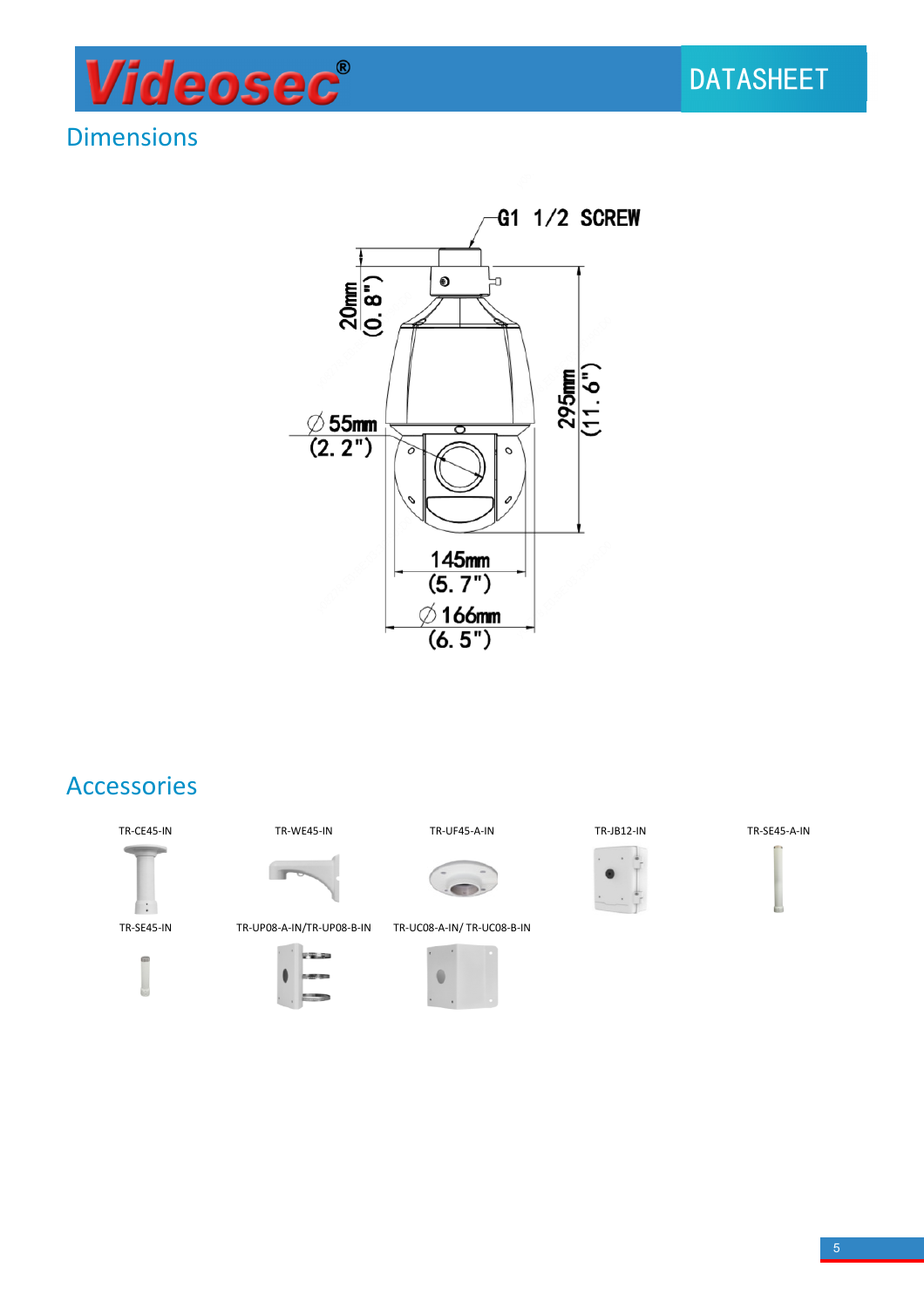

#### **Dimensions**



#### Accessories









TR-SE45-IN TR-UP08-A-IN/TR-UP08-B-IN TR-UC08-A-IN/ TR-UC08-B-IN